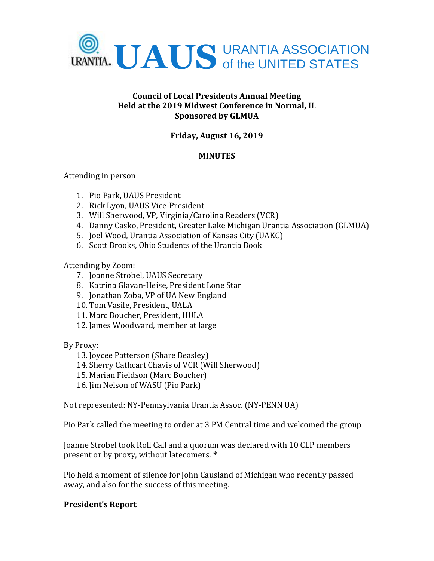

### **Council of Local Presidents Annual Meeting Held at the 2019 Midwest Conference in Normal, IL Sponsored by GLMUA**

# **Friday, August 16, 2019**

### **MINUTES**

Attending in person

- 1. Pio Park, UAUS President
- 2. Rick Lyon, UAUS Vice-President
- 3. Will Sherwood, VP, Virginia/Carolina Readers (VCR)
- 4. Danny Casko, President, Greater Lake Michigan Urantia Association (GLMUA)
- 5. Joel Wood, Urantia Association of Kansas City (UAKC)
- 6. Scott Brooks, Ohio Students of the Urantia Book

Attending by Zoom:

- 7. Joanne Strobel, UAUS Secretary
- 8. Katrina Glavan-Heise, President Lone Star
- 9. Jonathan Zoba, VP of UA New England
- 10. Tom Vasile, President, UALA
- 11. Marc Boucher, President, HULA
- 12. James Woodward, member at large

By Proxy:

- 13. Joycee Patterson (Share Beasley)
- 14. Sherry Cathcart Chavis of VCR (Will Sherwood)
- 15. Marian Fieldson (Marc Boucher)
- 16. Jim Nelson of WASU (Pio Park)

Not represented: NY-Pennsylvania Urantia Assoc. (NY-PENN UA)

Pio Park called the meeting to order at 3 PM Central time and welcomed the group

Joanne Strobel took Roll Call and a quorum was declared with 10 CLP members present or by proxy, without latecomers. **\***

Pio held a moment of silence for John Causland of Michigan who recently passed away, and also for the success of this meeting.

### **President's Report**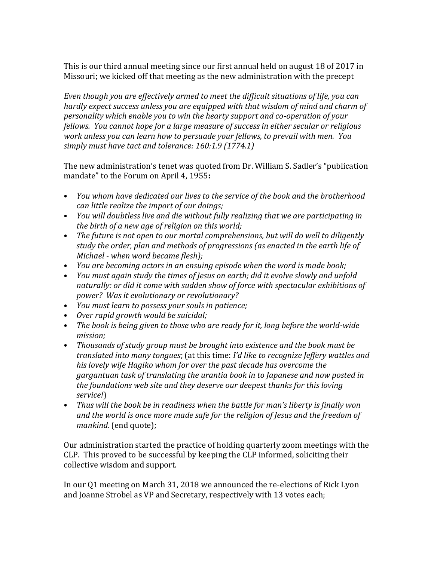This is our third annual meeting since our first annual held on august 18 of 2017 in Missouri; we kicked off that meeting as the new administration with the precept

*Even though you are effectively armed to meet the difficult situations of life, you can hardly expect success unless you are equipped with that wisdom of mind and charm of personality which enable you to win the hearty support and co-operation of your fellows. You cannot hope for a large measure of success in either secular or religious work unless you can learn how to persuade your fellows, to prevail with men. You simply must have tact and tolerance: 160:1.9 (1774.1)*

The new administration's tenet was quoted from Dr. William S. Sadler's "publication mandate" to the Forum on April 4, 1955**:**

- *You whom have dedicated our lives to the service of the book and the brotherhood can little realize the import of our doings;*
- *You will doubtless live and die without fully realizing that we are participating in the birth of a new age of religion on this world;*
- *The future is not open to our mortal comprehensions, but will do well to diligently study the order, plan and methods of progressions (as enacted in the earth life of Michael - when word became flesh);*
- *You are becoming actors in an ensuing episode when the word is made book;*
- *You must again study the times of Jesus on earth; did it evolve slowly and unfold naturally: or did it come with sudden show of force with spectacular exhibitions of power? Was it evolutionary or revolutionary?*
- *You must learn to possess your souls in patience;*
- *Over rapid growth would be suicidal;*
- *The book is being given to those who are ready for it, long before the world-wide mission;*
- *Thousands of study group must be brought into existence and the book must be translated into many tongues*; (at this time: *I'd like to recognize Jeffery wattles and his lovely wife Hagiko whom for over the past decade has overcome the gargantuan task of translating the urantia book in to Japanese and now posted in the foundations web site and they deserve our deepest thanks for this loving service!*)
- *Thus will the book be in readiness when the battle for man's liberty is finally won and the world is once more made safe for the religion of Jesus and the freedom of mankind.* (end quote);

Our administration started the practice of holding quarterly zoom meetings with the CLP. This proved to be successful by keeping the CLP informed, soliciting their collective wisdom and support.

In our Q1 meeting on March 31, 2018 we announced the re-elections of Rick Lyon and Joanne Strobel as VP and Secretary, respectively with 13 votes each;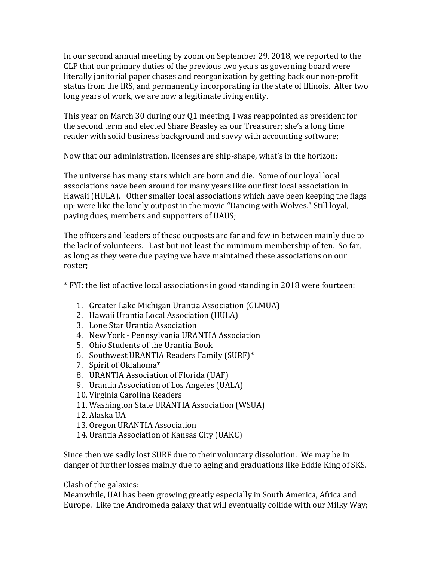In our second annual meeting by zoom on September 29, 2018, we reported to the CLP that our primary duties of the previous two years as governing board were literally janitorial paper chases and reorganization by getting back our non-profit status from the IRS, and permanently incorporating in the state of Illinois. After two long years of work, we are now a legitimate living entity.

This year on March 30 during our Q1 meeting, I was reappointed as president for the second term and elected Share Beasley as our Treasurer; she's a long time reader with solid business background and savvy with accounting software;

Now that our administration, licenses are ship-shape, what's in the horizon:

The universe has many stars which are born and die. Some of our loyal local associations have been around for many years like our first local association in Hawaii (HULA). Other smaller local associations which have been keeping the flags up; were like the lonely outpost in the movie "Dancing with Wolves." Still loyal, paying dues, members and supporters of UAUS;

The officers and leaders of these outposts are far and few in between mainly due to the lack of volunteers. Last but not least the minimum membership of ten. So far, as long as they were due paying we have maintained these associations on our roster;

\* FYI: the list of active local associations in good standing in 2018 were fourteen:

- 1. Greater Lake Michigan Urantia Association (GLMUA)
- 2. Hawaii Urantia Local Association (HULA)
- 3. Lone Star Urantia Association
- 4. New York Pennsylvania URANTIA Association
- 5. Ohio Students of the Urantia Book
- 6. Southwest URANTIA Readers Family (SURF)\*
- 7. Spirit of Oklahoma\*
- 8. URANTIA Association of Florida (UAF)
- 9. Urantia Association of Los Angeles (UALA)
- 10. Virginia Carolina Readers
- 11. Washington State URANTIA Association (WSUA)
- 12. Alaska UA
- 13. Oregon URANTIA Association
- 14. Urantia Association of Kansas City (UAKC)

Since then we sadly lost SURF due to their voluntary dissolution. We may be in danger of further losses mainly due to aging and graduations like Eddie King of SKS.

Clash of the galaxies:

Meanwhile, UAI has been growing greatly especially in South America, Africa and Europe. Like the Andromeda galaxy that will eventually collide with our Milky Way;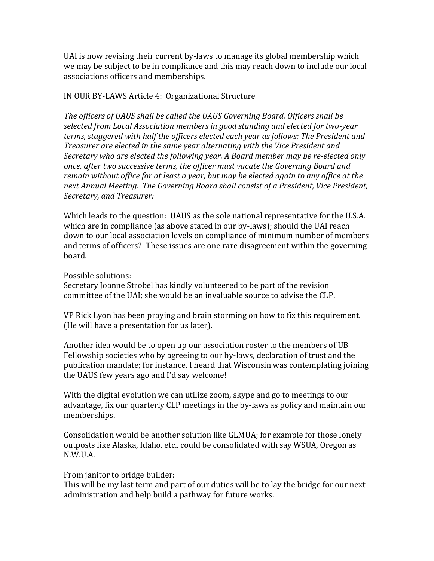UAI is now revising their current by-laws to manage its global membership which we may be subject to be in compliance and this may reach down to include our local associations officers and memberships.

### IN OUR BY-LAWS Article 4: Organizational Structure

*The officers of UAUS shall be called the UAUS Governing Board. Officers shall be selected from Local Association members in good standing and elected for two-year terms, staggered with half the officers elected each year as follows: The President and Treasurer are elected in the same year alternating with the Vice President and Secretary who are elected the following year. A Board member may be re-elected only once, after two successive terms, the officer must vacate the Governing Board and remain without office for at least a year, but may be elected again to any office at the next Annual Meeting. The Governing Board shall consist of a President, Vice President, Secretary, and Treasurer:* 

Which leads to the question: UAUS as the sole national representative for the U.S.A. which are in compliance (as above stated in our by-laws); should the UAI reach down to our local association levels on compliance of minimum number of members and terms of officers? These issues are one rare disagreement within the governing board.

Possible solutions:

Secretary Joanne Strobel has kindly volunteered to be part of the revision committee of the UAI; she would be an invaluable source to advise the CLP.

VP Rick Lyon has been praying and brain storming on how to fix this requirement. (He will have a presentation for us later).

Another idea would be to open up our association roster to the members of UB Fellowship societies who by agreeing to our by-laws, declaration of trust and the publication mandate; for instance, I heard that Wisconsin was contemplating joining the UAUS few years ago and I'd say welcome!

With the digital evolution we can utilize zoom, skype and go to meetings to our advantage, fix our quarterly CLP meetings in the by-laws as policy and maintain our memberships.

Consolidation would be another solution like GLMUA; for example for those lonely outposts like Alaska, Idaho, etc., could be consolidated with say WSUA, Oregon as N.W.U.A.

### From janitor to bridge builder:

This will be my last term and part of our duties will be to lay the bridge for our next administration and help build a pathway for future works.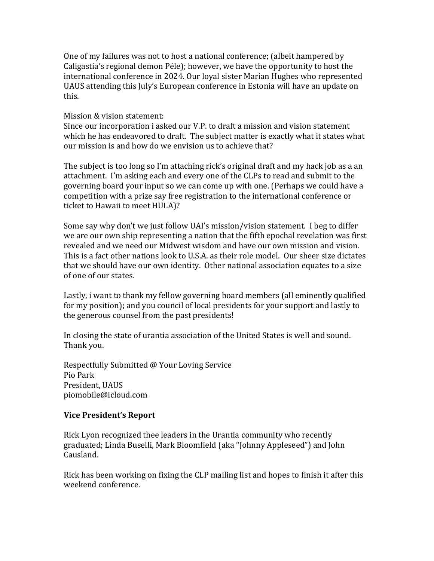One of my failures was not to host a national conference; (albeit hampered by Caligastia's regional demon Péle); however, we have the opportunity to host the international conference in 2024. Our loyal sister Marian Hughes who represented UAUS attending this July's European conference in Estonia will have an update on this.

#### Mission & vision statement:

Since our incorporation i asked our V.P. to draft a mission and vision statement which he has endeavored to draft. The subject matter is exactly what it states what our mission is and how do we envision us to achieve that?

The subject is too long so I'm attaching rick's original draft and my hack job as a an attachment. I'm asking each and every one of the CLPs to read and submit to the governing board your input so we can come up with one. (Perhaps we could have a competition with a prize say free registration to the international conference or ticket to Hawaii to meet HULA)?

Some say why don't we just follow UAI's mission/vision statement. I beg to differ we are our own ship representing a nation that the fifth epochal revelation was first revealed and we need our Midwest wisdom and have our own mission and vision. This is a fact other nations look to U.S.A. as their role model. Our sheer size dictates that we should have our own identity. Other national association equates to a size of one of our states.

Lastly, i want to thank my fellow governing board members (all eminently qualified for my position); and you council of local presidents for your support and lastly to the generous counsel from the past presidents!

In closing the state of urantia association of the United States is well and sound. Thank you.

Respectfully Submitted @ Your Loving Service Pio Park President, UAUS piomobile@icloud.com

### **Vice President's Report**

Rick Lyon recognized thee leaders in the Urantia community who recently graduated; Linda Buselli, Mark Bloomfield (aka "Johnny Appleseed") and John Causland.

Rick has been working on fixing the CLP mailing list and hopes to finish it after this weekend conference.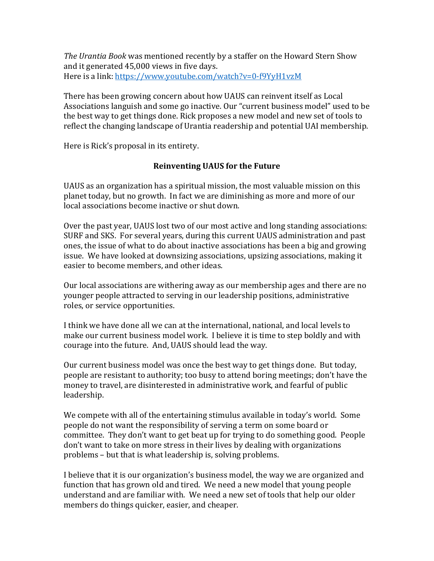*The Urantia Book* was mentioned recently by a staffer on the Howard Stern Show and it generated 45,000 views in five days. Here is a link[: https://www.youtube.com/watch?v=0-f9YyH1vzM](https://www.youtube.com/watch?v=0-f9YyH1vzM)

There has been growing concern about how UAUS can reinvent itself as Local Associations languish and some go inactive. Our "current business model" used to be the best way to get things done. Rick proposes a new model and new set of tools to reflect the changing landscape of Urantia readership and potential UAI membership.

Here is Rick's proposal in its entirety.

# **Reinventing UAUS for the Future**

UAUS as an organization has a spiritual mission, the most valuable mission on this planet today, but no growth. In fact we are diminishing as more and more of our local associations become inactive or shut down.

Over the past year, UAUS lost two of our most active and long standing associations: SURF and SKS. For several years, during this current UAUS administration and past ones, the issue of what to do about inactive associations has been a big and growing issue. We have looked at downsizing associations, upsizing associations, making it easier to become members, and other ideas.

Our local associations are withering away as our membership ages and there are no younger people attracted to serving in our leadership positions, administrative roles, or service opportunities.

I think we have done all we can at the international, national, and local levels to make our current business model work. I believe it is time to step boldly and with courage into the future. And, UAUS should lead the way.

Our current business model was once the best way to get things done. But today, people are resistant to authority; too busy to attend boring meetings; don't have the money to travel, are disinterested in administrative work, and fearful of public leadership.

We compete with all of the entertaining stimulus available in today's world. Some people do not want the responsibility of serving a term on some board or committee. They don't want to get beat up for trying to do something good. People don't want to take on more stress in their lives by dealing with organizations problems – but that is what leadership is, solving problems.

I believe that it is our organization's business model, the way we are organized and function that has grown old and tired. We need a new model that young people understand and are familiar with. We need a new set of tools that help our older members do things quicker, easier, and cheaper.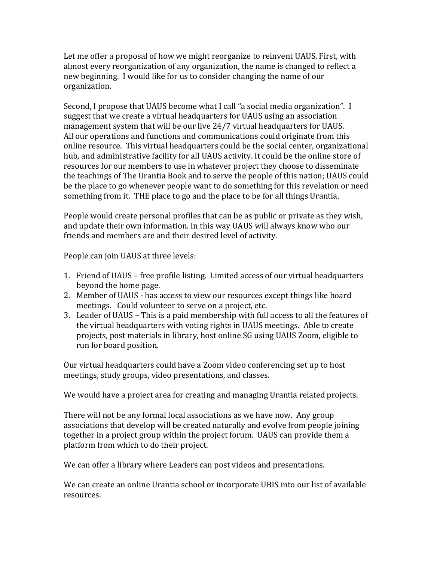Let me offer a proposal of how we might reorganize to reinvent UAUS. First, with almost every reorganization of any organization, the name is changed to reflect a new beginning. I would like for us to consider changing the name of our organization.

Second, I propose that UAUS become what I call "a social media organization". I suggest that we create a virtual headquarters for UAUS using an association management system that will be our live 24/7 virtual headquarters for UAUS. All our operations and functions and communications could originate from this online resource. This virtual headquarters could be the social center, organizational hub, and administrative facility for all UAUS activity. It could be the online store of resources for our members to use in whatever project they choose to disseminate the teachings of The Urantia Book and to serve the people of this nation; UAUS could be the place to go whenever people want to do something for this revelation or need something from it. THE place to go and the place to be for all things Urantia.

People would create personal profiles that can be as public or private as they wish, and update their own information. In this way UAUS will always know who our friends and members are and their desired level of activity.

People can join UAUS at three levels:

- 1. Friend of UAUS free profile listing. Limited access of our virtual headquarters beyond the home page.
- 2. Member of UAUS has access to view our resources except things like board meetings. Could volunteer to serve on a project, etc.
- 3. Leader of UAUS This is a paid membership with full access to all the features of the virtual headquarters with voting rights in UAUS meetings. Able to create projects, post materials in library, host online SG using UAUS Zoom, eligible to run for board position.

Our virtual headquarters could have a Zoom video conferencing set up to host meetings, study groups, video presentations, and classes.

We would have a project area for creating and managing Urantia related projects.

There will not be any formal local associations as we have now. Any group associations that develop will be created naturally and evolve from people joining together in a project group within the project forum. UAUS can provide them a platform from which to do their project.

We can offer a library where Leaders can post videos and presentations.

We can create an online Urantia school or incorporate UBIS into our list of available resources.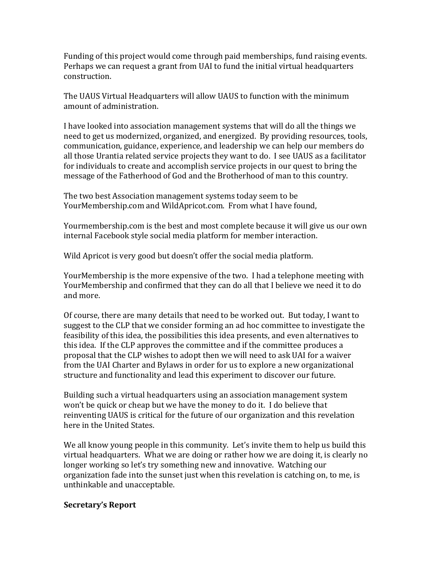Funding of this project would come through paid memberships, fund raising events. Perhaps we can request a grant from UAI to fund the initial virtual headquarters construction.

The UAUS Virtual Headquarters will allow UAUS to function with the minimum amount of administration.

I have looked into association management systems that will do all the things we need to get us modernized, organized, and energized. By providing resources, tools, communication, guidance, experience, and leadership we can help our members do all those Urantia related service projects they want to do. I see UAUS as a facilitator for individuals to create and accomplish service projects in our quest to bring the message of the Fatherhood of God and the Brotherhood of man to this country.

The two best Association management systems today seem to be YourMembership.com and WildApricot.com. From what I have found,

Yourmembership.com is the best and most complete because it will give us our own internal Facebook style social media platform for member interaction.

Wild Apricot is very good but doesn't offer the social media platform.

YourMembership is the more expensive of the two. I had a telephone meeting with YourMembership and confirmed that they can do all that I believe we need it to do and more.

Of course, there are many details that need to be worked out. But today, I want to suggest to the CLP that we consider forming an ad hoc committee to investigate the feasibility of this idea, the possibilities this idea presents, and even alternatives to this idea. If the CLP approves the committee and if the committee produces a proposal that the CLP wishes to adopt then we will need to ask UAI for a waiver from the UAI Charter and Bylaws in order for us to explore a new organizational structure and functionality and lead this experiment to discover our future.

Building such a virtual headquarters using an association management system won't be quick or cheap but we have the money to do it. I do believe that reinventing UAUS is critical for the future of our organization and this revelation here in the United States.

We all know young people in this community. Let's invite them to help us build this virtual headquarters. What we are doing or rather how we are doing it, is clearly no longer working so let's try something new and innovative. Watching our organization fade into the sunset just when this revelation is catching on, to me, is unthinkable and unacceptable.

### **Secretary's Report**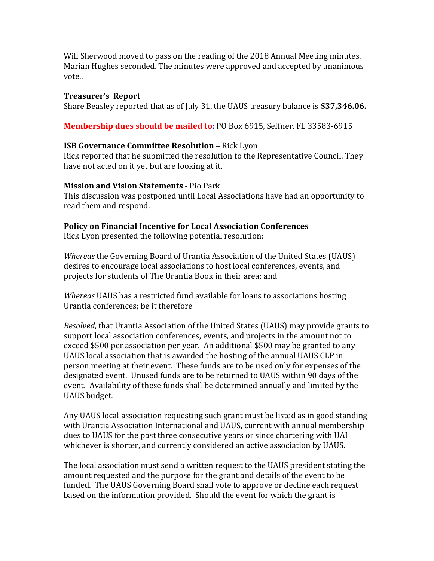Will Sherwood moved to pass on the reading of the 2018 Annual Meeting minutes. Marian Hughes seconded. The minutes were approved and accepted by unanimous vote..

#### **Treasurer's Report**

Share Beasley reported that as of July 31, the UAUS treasury balance is **\$37,346.06.**

**Membership dues should be mailed to:** PO Box 6915, Seffner, FL 33583-6915

### **ISB Governance Committee Resolution** – Rick Lyon

Rick reported that he submitted the resolution to the Representative Council. They have not acted on it yet but are looking at it.

#### **Mission and Vision Statements** - Pio Park

This discussion was postponed until Local Associations have had an opportunity to read them and respond.

### **Policy on Financial Incentive for Local Association Conferences**

Rick Lyon presented the following potential resolution:

*Whereas* the Governing Board of Urantia Association of the United States (UAUS) desires to encourage local associations to host local conferences, events, and projects for students of The Urantia Book in their area; and

*Whereas* UAUS has a restricted fund available for loans to associations hosting Urantia conferences; be it therefore

*Resolved*, that Urantia Association of the United States (UAUS) may provide grants to support local association conferences, events, and projects in the amount not to exceed \$500 per association per year. An additional \$500 may be granted to any UAUS local association that is awarded the hosting of the annual UAUS CLP inperson meeting at their event. These funds are to be used only for expenses of the designated event. Unused funds are to be returned to UAUS within 90 days of the event. Availability of these funds shall be determined annually and limited by the UAUS budget.

Any UAUS local association requesting such grant must be listed as in good standing with Urantia Association International and UAUS, current with annual membership dues to UAUS for the past three consecutive years or since chartering with UAI whichever is shorter, and currently considered an active association by UAUS.

The local association must send a written request to the UAUS president stating the amount requested and the purpose for the grant and details of the event to be funded. The UAUS Governing Board shall vote to approve or decline each request based on the information provided. Should the event for which the grant is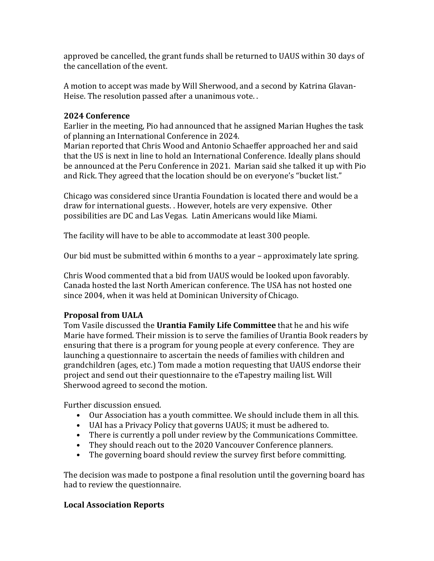approved be cancelled, the grant funds shall be returned to UAUS within 30 days of the cancellation of the event.

A motion to accept was made by Will Sherwood, and a second by Katrina Glavan-Heise. The resolution passed after a unanimous vote. .

### **2024 Conference**

Earlier in the meeting, Pio had announced that he assigned Marian Hughes the task of planning an International Conference in 2024.

Marian reported that Chris Wood and Antonio Schaeffer approached her and said that the US is next in line to hold an International Conference. Ideally plans should be announced at the Peru Conference in 2021. Marian said she talked it up with Pio and Rick. They agreed that the location should be on everyone's "bucket list."

Chicago was considered since Urantia Foundation is located there and would be a draw for international guests. . However, hotels are very expensive. Other possibilities are DC and Las Vegas. Latin Americans would like Miami.

The facility will have to be able to accommodate at least 300 people.

Our bid must be submitted within 6 months to a year – approximately late spring.

Chris Wood commented that a bid from UAUS would be looked upon favorably. Canada hosted the last North American conference. The USA has not hosted one since 2004, when it was held at Dominican University of Chicago.

# **Proposal from UALA**

Tom Vasile discussed the **Urantia Family Life Committee** that he and his wife Marie have formed. Their mission is to serve the families of Urantia Book readers by ensuring that there is a program for young people at every conference. They are launching a questionnaire to ascertain the needs of families with children and grandchildren (ages, etc.) Tom made a motion requesting that UAUS endorse their project and send out their questionnaire to the eTapestry mailing list. Will Sherwood agreed to second the motion.

Further discussion ensued.

- Our Association has a youth committee. We should include them in all this.
- UAI has a Privacy Policy that governs UAUS; it must be adhered to.
- There is currently a poll under review by the Communications Committee.
- They should reach out to the 2020 Vancouver Conference planners.
- The governing board should review the survey first before committing.

The decision was made to postpone a final resolution until the governing board has had to review the questionnaire.

# **Local Association Reports**